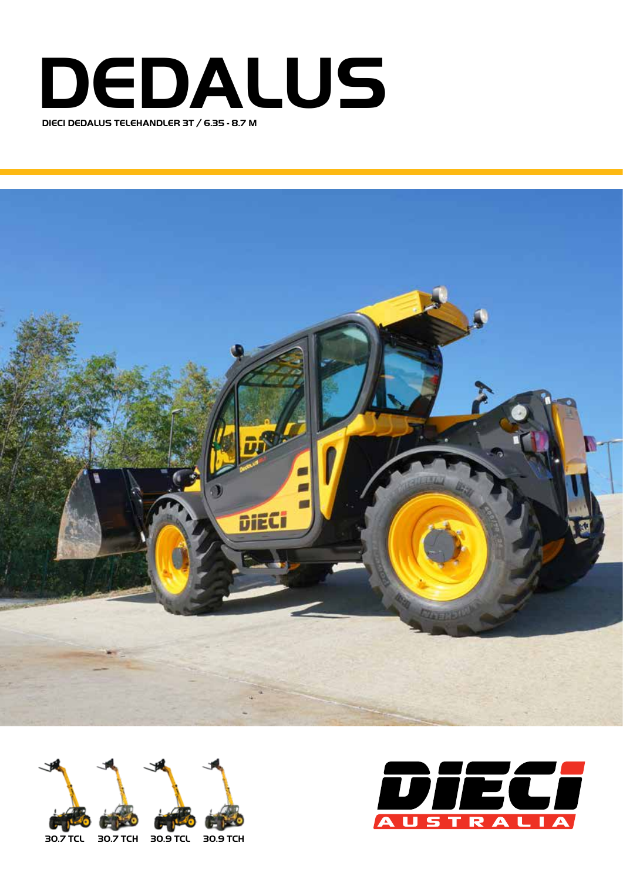







**30.7 TCL 30.7 TCH 30.9 TCL 30.9 TCH**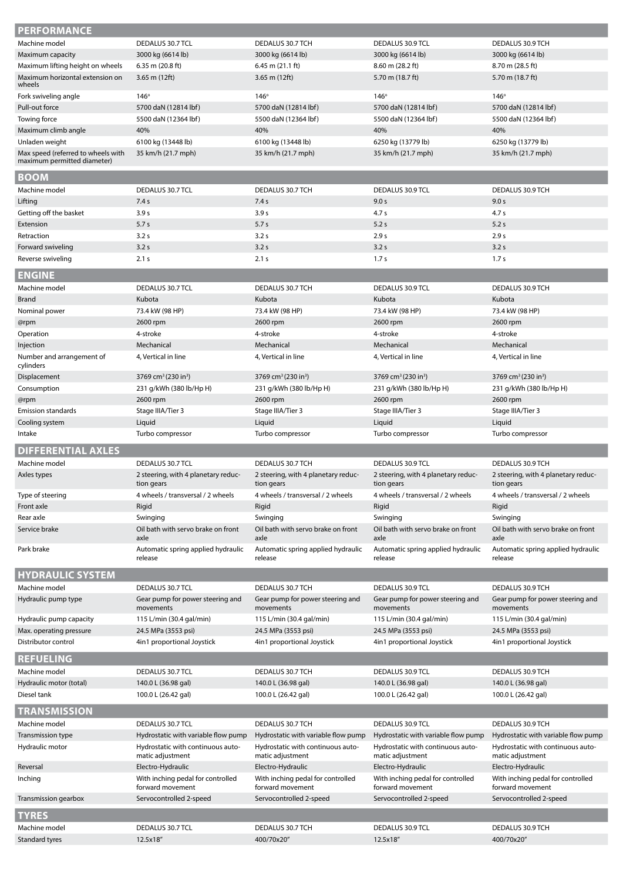| <b>PERFORMANCE</b>                 |                                                       |                                                       |                                                       |                                                       |
|------------------------------------|-------------------------------------------------------|-------------------------------------------------------|-------------------------------------------------------|-------------------------------------------------------|
| Machine model                      | DEDALUS 30.7 TCL                                      | DEDALUS 30.7 TCH                                      | DEDALUS 30.9 TCL                                      | DEDALUS 30.9 TCH                                      |
| Maximum capacity                   | 3000 kg (6614 lb)                                     | 3000 kg (6614 lb)                                     | 3000 kg (6614 lb)                                     | 3000 kg (6614 lb)                                     |
| Maximum lifting height on wheels   | $6.35$ m (20.8 ft)                                    | $6.45$ m $(21.1)$ ft)                                 | 8.60 m (28.2 ft)                                      | 8.70 m (28.5 ft)                                      |
| Maximum horizontal extension on    | 3.65 m $(12ft)$                                       | $3.65$ m (12ft)                                       | 5.70 m (18.7 ft)                                      | 5.70 m (18.7 ft)                                      |
| wheels                             |                                                       |                                                       |                                                       |                                                       |
| Fork swiveling angle               | $146^\circ$                                           | $146^\circ$                                           | 146°                                                  | $146^\circ$                                           |
| Pull-out force                     | 5700 daN (12814 lbf)                                  | 5700 daN (12814 lbf)                                  | 5700 daN (12814 lbf)                                  | 5700 daN (12814 lbf)                                  |
| Towing force                       | 5500 daN (12364 lbf)                                  | 5500 daN (12364 lbf)                                  | 5500 daN (12364 lbf)                                  | 5500 daN (12364 lbf)                                  |
| Maximum climb angle                | 40%                                                   | 40%                                                   | 40%                                                   | 40%                                                   |
| Unladen weight                     | 6100 kg (13448 lb)                                    | 6100 kg (13448 lb)                                    | 6250 kg (13779 lb)                                    | 6250 kg (13779 lb)                                    |
| Max speed (referred to wheels with | 35 km/h (21.7 mph)                                    | 35 km/h (21.7 mph)                                    | 35 km/h (21.7 mph)                                    | 35 km/h (21.7 mph)                                    |
| maximum permitted diameter)        |                                                       |                                                       |                                                       |                                                       |
| <b>BOOM</b>                        |                                                       |                                                       |                                                       |                                                       |
| Machine model                      | DEDALUS 30.7 TCL                                      | DEDALUS 30.7 TCH                                      | DEDALUS 30.9 TCL                                      | DEDALUS 30.9 TCH                                      |
| Lifting                            | 7.4 s                                                 | 7.4 s                                                 | 9.0 s                                                 | 9.0 s                                                 |
| Getting off the basket             | 3.9 <sub>s</sub>                                      | 3.9 <sub>s</sub>                                      | 4.7 <sub>s</sub>                                      | 4.7 <sub>s</sub>                                      |
| Extension                          | 5.7s                                                  | 5.7s                                                  | 5.2s                                                  | 5.2 s                                                 |
| Retraction                         | 3.2s                                                  | 3.2s                                                  | 2.9 <sub>s</sub>                                      | 2.9 s                                                 |
| Forward swiveling                  | 3.2s                                                  | 3.2s                                                  | 3.2s                                                  | 3.2s                                                  |
| Reverse swiveling                  | 2.1 s                                                 | 2.1 s                                                 | 1.7 <sub>s</sub>                                      | 1.7 <sub>s</sub>                                      |
| <b>ENGINE</b>                      |                                                       |                                                       |                                                       |                                                       |
| Machine model                      | DEDALUS 30.7 TCL                                      | DEDALUS 30.7 TCH                                      | DEDALUS 30.9 TCL                                      | DEDALUS 30.9 TCH                                      |
| <b>Brand</b>                       | Kubota                                                | Kubota                                                | Kubota                                                | Kubota                                                |
| Nominal power                      | 73.4 kW (98 HP)                                       | 73.4 kW (98 HP)                                       | 73.4 kW (98 HP)                                       | 73.4 kW (98 HP)                                       |
| @rpm                               | 2600 rpm                                              | 2600 rpm                                              | 2600 rpm                                              | 2600 rpm                                              |
| Operation                          | 4-stroke                                              | 4-stroke                                              | 4-stroke                                              | 4-stroke                                              |
| Injection                          | Mechanical                                            | Mechanical                                            | Mechanical                                            | Mechanical                                            |
| Number and arrangement of          | 4, Vertical in line                                   | 4, Vertical in line                                   | 4, Vertical in line                                   | 4, Vertical in line                                   |
| cylinders                          |                                                       |                                                       |                                                       |                                                       |
| Displacement                       | 3769 cm <sup>3</sup> (230 in <sup>3</sup> )           | 3769 cm <sup>3</sup> (230 in <sup>3</sup> )           | 3769 cm <sup>3</sup> (230 in <sup>3</sup> )           | 3769 cm <sup>3</sup> (230 in <sup>3</sup> )           |
| Consumption                        | 231 g/kWh (380 lb/Hp H)                               | 231 g/kWh (380 lb/Hp H)                               | 231 g/kWh (380 lb/Hp H)                               | 231 g/kWh (380 lb/Hp H)                               |
| @rpm                               | 2600 rpm                                              | 2600 rpm                                              | 2600 rpm                                              | 2600 rpm                                              |
| <b>Emission standards</b>          | Stage IIIA/Tier 3                                     | Stage IIIA/Tier 3                                     | Stage IIIA/Tier 3                                     | Stage IIIA/Tier 3                                     |
| Cooling system                     | Liquid                                                | Liquid                                                | Liquid                                                | Liquid                                                |
| Intake                             | Turbo compressor                                      | Turbo compressor                                      | Turbo compressor                                      | Turbo compressor                                      |
| <b>DIFFERENTIAL AXLES</b>          |                                                       |                                                       |                                                       |                                                       |
| Machine model                      | DEDALUS 30.7 TCL                                      | DEDALUS 30.7 TCH                                      | DEDALUS 30.9 TCL                                      | DEDALUS 30.9 TCH                                      |
| Axles types                        | 2 steering, with 4 planetary reduc-<br>tion gears     | 2 steering, with 4 planetary reduc-<br>tion gears     | 2 steering, with 4 planetary reduc-<br>tion gears     | 2 steering, with 4 planetary reduc-<br>tion gears     |
| Type of steering                   | 4 wheels / transversal / 2 wheels                     | 4 wheels / transversal / 2 wheels                     | 4 wheels / transversal / 2 wheels                     | 4 wheels / transversal / 2 wheels                     |
| Front axle                         | Rigid                                                 | Rigid                                                 | Rigid                                                 | Rigid                                                 |
| Rear axle                          | Swinging                                              | Swinging                                              | Swinging                                              | Swinging                                              |
| Service brake                      | Oil bath with servo brake on front<br>axle            | Oil bath with servo brake on front<br>axle            | Oil bath with servo brake on front<br>axle            | Oil bath with servo brake on front<br>axle            |
| Park brake                         | Automatic spring applied hydraulic<br>release         | Automatic spring applied hydraulic<br>release         | Automatic spring applied hydraulic<br>release         | Automatic spring applied hydraulic<br>release         |
| <b>HYDRAULIC SYSTEM</b>            |                                                       |                                                       |                                                       |                                                       |
| Machine model                      | DEDALUS 30.7 TCL                                      | DEDALUS 30.7 TCH                                      | DEDALUS 30.9 TCL                                      | DEDALUS 30.9 TCH                                      |
| Hydraulic pump type                | Gear pump for power steering and                      | Gear pump for power steering and                      | Gear pump for power steering and                      | Gear pump for power steering and                      |
|                                    | movements                                             | movements                                             | movements                                             | movements                                             |
| Hydraulic pump capacity            | 115 L/min (30.4 gal/min)                              | 115 L/min (30.4 gal/min)                              | 115 L/min (30.4 gal/min)                              | 115 L/min (30.4 gal/min)                              |
| Max. operating pressure            | 24.5 MPa (3553 psi)                                   | 24.5 MPa (3553 psi)                                   | 24.5 MPa (3553 psi)                                   | 24.5 MPa (3553 psi)                                   |
| Distributor control                | 4in1 proportional Joystick                            | 4in1 proportional Joystick                            | 4in1 proportional Joystick                            | 4in1 proportional Joystick                            |
| <b>REFUELING</b>                   |                                                       |                                                       |                                                       |                                                       |
| Machine model                      | DEDALUS 30.7 TCL                                      | DEDALUS 30.7 TCH                                      | DEDALUS 30.9 TCL                                      | DEDALUS 30.9 TCH                                      |
| Hydraulic motor (total)            | 140.0 L (36.98 gal)                                   | 140.0 L (36.98 gal)                                   | 140.0 L (36.98 gal)                                   | 140.0 L (36.98 gal)                                   |
| Diesel tank                        | 100.0 L (26.42 gal)                                   | 100.0 L (26.42 gal)                                   | 100.0 L (26.42 gal)                                   | 100.0 L (26.42 gal)                                   |
| <b>TRANSMISSION</b>                |                                                       |                                                       |                                                       |                                                       |
| Machine model                      | DEDALUS 30.7 TCL                                      | DEDALUS 30.7 TCH                                      | DEDALUS 30.9 TCL                                      | DEDALUS 30.9 TCH                                      |
| Transmission type                  | Hydrostatic with variable flow pump                   | Hydrostatic with variable flow pump                   | Hydrostatic with variable flow pump                   | Hydrostatic with variable flow pump                   |
| Hydraulic motor                    | Hydrostatic with continuous auto-<br>matic adjustment | Hydrostatic with continuous auto-<br>matic adjustment | Hydrostatic with continuous auto-<br>matic adjustment | Hydrostatic with continuous auto-<br>matic adjustment |
| Reversal                           | Electro-Hydraulic                                     | Electro-Hydraulic                                     | Electro-Hydraulic                                     | Electro-Hydraulic                                     |
| Inching                            | With inching pedal for controlled                     | With inching pedal for controlled                     | With inching pedal for controlled                     | With inching pedal for controlled                     |
|                                    | forward movement                                      | forward movement                                      | forward movement                                      | forward movement                                      |
| Transmission gearbox               | Servocontrolled 2-speed                               | Servocontrolled 2-speed                               | Servocontrolled 2-speed                               | Servocontrolled 2-speed                               |
| <b>TYRES</b>                       |                                                       |                                                       |                                                       |                                                       |
| Machine model                      | DEDALUS 30.7 TCL                                      | DEDALUS 30.7 TCH                                      | DEDALUS 30.9 TCL                                      | DEDALUS 30.9 TCH                                      |
| Standard tyres                     | 12.5x18"                                              | 400/70x20"                                            | 12.5x18"                                              | 400/70x20"                                            |
|                                    |                                                       |                                                       |                                                       |                                                       |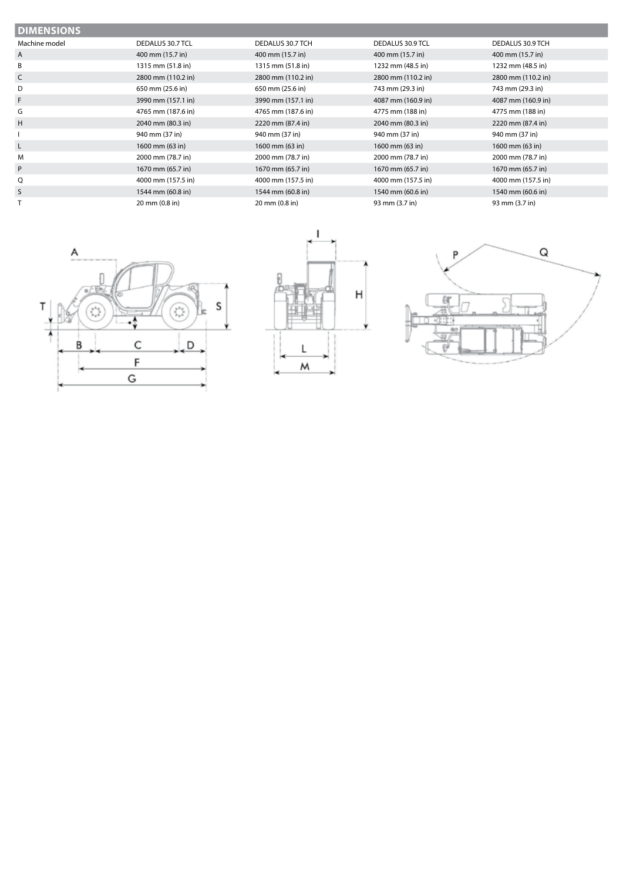| <b>DIMENSIONS</b> |                    |                    |                    |                    |
|-------------------|--------------------|--------------------|--------------------|--------------------|
| Machine model     | DEDALUS 30.7 TCL   | DEDALUS 30.7 TCH   | DEDALUS 30.9 TCL   | DEDALUS 30.9 TCH   |
| A                 | 400 mm (15.7 in)   | 400 mm (15.7 in)   | 400 mm (15.7 in)   | 400 mm (15.7 in)   |
| B                 | 1315 mm (51.8 in)  | 1315 mm (51.8 in)  | 1232 mm (48.5 in)  | 1232 mm (48.5 in)  |
| C                 | 2800 mm (110.2 in) | 2800 mm (110.2 in) | 2800 mm (110.2 in) | 2800 mm (110.2 in) |
| D                 | 650 mm (25.6 in)   | 650 mm (25.6 in)   | 743 mm (29.3 in)   | 743 mm (29.3 in)   |
| F.                | 3990 mm (157.1 in) | 3990 mm (157.1 in) | 4087 mm (160.9 in) | 4087 mm (160.9 in) |
| G                 | 4765 mm (187.6 in) | 4765 mm (187.6 in) | 4775 mm (188 in)   | 4775 mm (188 in)   |
| H                 | 2040 mm (80.3 in)  | 2220 mm (87.4 in)  | 2040 mm (80.3 in)  | 2220 mm (87.4 in)  |
|                   | 940 mm (37 in)     | 940 mm (37 in)     | 940 mm (37 in)     | 940 mm (37 in)     |
| L                 | 1600 mm (63 in)    | 1600 mm (63 in)    | 1600 mm (63 in)    | 1600 mm (63 in)    |
| M                 | 2000 mm (78.7 in)  | 2000 mm (78.7 in)  | 2000 mm (78.7 in)  | 2000 mm (78.7 in)  |
| P                 | 1670 mm (65.7 in)  | 1670 mm (65.7 in)  | 1670 mm (65.7 in)  | 1670 mm (65.7 in)  |
| Q                 | 4000 mm (157.5 in) | 4000 mm (157.5 in) | 4000 mm (157.5 in) | 4000 mm (157.5 in) |
| S.                | 1544 mm (60.8 in)  | 1544 mm (60.8 in)  | 1540 mm (60.6 in)  | 1540 mm (60.6 in)  |
|                   | 20 mm (0.8 in)     | 20 mm (0.8 in)     | 93 mm (3.7 in)     | 93 mm (3.7 in)     |